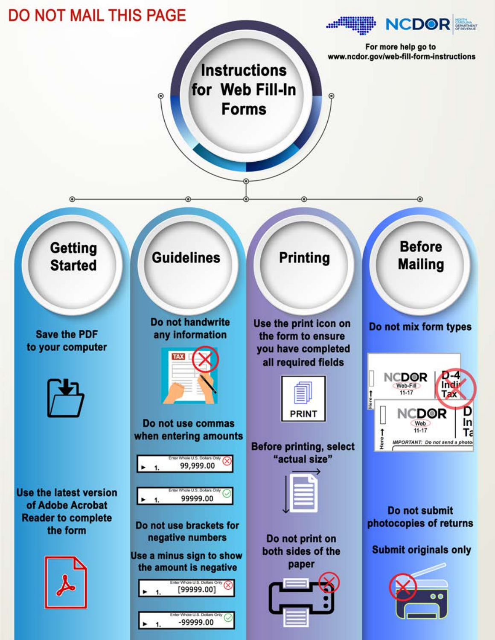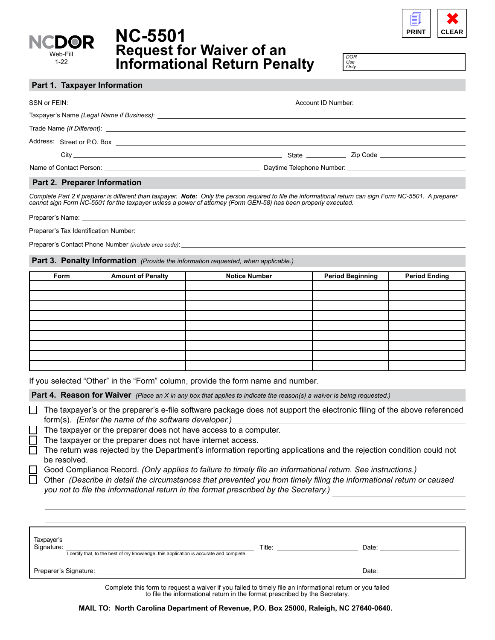

# **Request for Waiver of an Informational Return Penalty NC-5501**

1  $\begin{array}{|c|c|}\n\hline\n\text{PRINT} & \text{CLEA}\n\end{array}$ **CLEAR**

*DOR Use Only*

#### **Part 1. Taxpayer Information**

| City <b>Called Act of the City of the City</b> and the City of the City of the City of the City of the City of the City |  | State Zip Code |
|-------------------------------------------------------------------------------------------------------------------------|--|----------------|
|                                                                                                                         |  |                |
|                                                                                                                         |  |                |

#### **Part 2. Preparer Information**

*Complete Part 2 if preparer is different than taxpayer. Note: Only the person required to file the informational return can sign Form NC-5501. A preparer cannot sign Form NC-5501 for the taxpayer unless a power of attorney (Form GEN-58) has been properly executed.* 

Preparer's Name:

Preparer's Tax Identification Number:

Preparer's Contact Phone Number *(include area code)*:

**Part 3. Penalty Information** *(Provide the information requested, when applicable.)*

| Form | <b>Amount of Penalty</b> | <b>Notice Number</b> | <b>Period Beginning</b> | <b>Period Ending</b> |
|------|--------------------------|----------------------|-------------------------|----------------------|
|      |                          |                      |                         |                      |
|      |                          |                      |                         |                      |
|      |                          |                      |                         |                      |
|      |                          |                      |                         |                      |
|      |                          |                      |                         |                      |
|      |                          |                      |                         |                      |
|      |                          |                      |                         |                      |
|      |                          |                      |                         |                      |
|      |                          |                      |                         |                      |

If you selected "Other" in the "Form" column, provide the form name and number.

**Part 4. Reason for Waiver** *(Place an X in any box that applies to indicate the reason(s) a waiver is being requested.)* 

 $\Box$  The taxpayer's or the preparer's e-file software package does not support the electronic filing of the above referenced form(s). *(Enter the name of the software developer.)*

The taxpayer or the preparer does not have access to a computer.

- The taxpayer or the preparer does not have internet access.
- The return was rejected by the Department's information reporting applications and the rejection condition could not be resolved.
- Good Compliance Record. *(Only applies to failure to timely file an informational return. See instructions.)*

Other *(Describe in detail the circumstances that prevented you from timely filing the informational return or caused you not to file the informational return in the format prescribed by the Secretary.)*

| Taxpayer's<br>Signature:<br>I certify that, to the best of my knowledge, this application is accurate and complete. | Title: | Date: |
|---------------------------------------------------------------------------------------------------------------------|--------|-------|
| Preparer's Signature:                                                                                               |        | Date: |

Complete this form to request a waiver if you failed to timely file an informational return or you failed to file the informational return in the format prescribed by the Secretary.